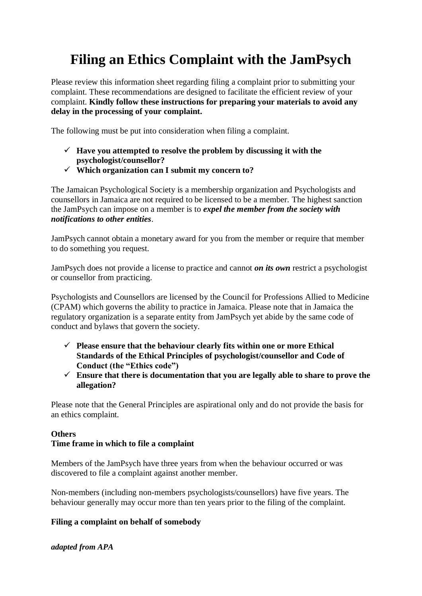# **Filing an Ethics Complaint with the JamPsych**

Please review this information sheet regarding filing a complaint prior to submitting your complaint. These recommendations are designed to facilitate the efficient review of your complaint. **Kindly follow these instructions for preparing your materials to avoid any delay in the processing of your complaint.**

The following must be put into consideration when filing a complaint.

- $\checkmark$  Have you attempted to resolve the problem by discussing it with the **psychologist/counsellor?**
- ✓ **Which organization can I submit my concern to?**

The Jamaican Psychological Society is a membership organization and Psychologists and counsellors in Jamaica are not required to be licensed to be a member. The highest sanction the JamPsych can impose on a member is to *expel the member from the society with notifications to other entities*.

JamPsych cannot obtain a monetary award for you from the member or require that member to do something you request.

JamPsych does not provide a license to practice and cannot *on its own* restrict a psychologist or counsellor from practicing.

Psychologists and Counsellors are licensed by the Council for Professions Allied to Medicine (CPAM) which governs the ability to practice in Jamaica. Please note that in Jamaica the regulatory organization is a separate entity from JamPsych yet abide by the same code of conduct and bylaws that govern the society.

- ✓ **Please ensure that the behaviour clearly fits within one or more Ethical Standards of the Ethical Principles of psychologist/counsellor and Code of Conduct (the "Ethics code")**
- ✓ **Ensure that there is documentation that you are legally able to share to prove the allegation?**

Please note that the General Principles are aspirational only and do not provide the basis for an ethics complaint.

### **Others Time frame in which to file a complaint**

Members of the JamPsych have three years from when the behaviour occurred or was discovered to file a complaint against another member.

Non-members (including non-members psychologists/counsellors) have five years. The behaviour generally may occur more than ten years prior to the filing of the complaint.

#### **Filing a complaint on behalf of somebody**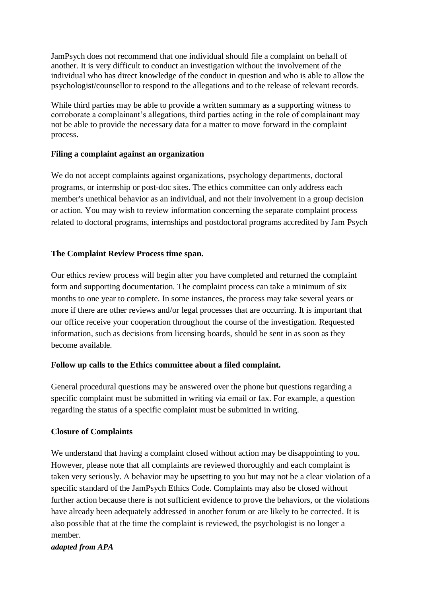JamPsych does not recommend that one individual should file a complaint on behalf of another. It is very difficult to conduct an investigation without the involvement of the individual who has direct knowledge of the conduct in question and who is able to allow the psychologist/counsellor to respond to the allegations and to the release of relevant records.

While third parties may be able to provide a written summary as a supporting witness to corroborate a complainant's allegations, third parties acting in the role of complainant may not be able to provide the necessary data for a matter to move forward in the complaint process.

#### **Filing a complaint against an organization**

We do not accept complaints against organizations, psychology departments, doctoral programs, or internship or post-doc sites. The ethics committee can only address each member's unethical behavior as an individual, and not their involvement in a group decision or action. You may wish to review information concerning the separate [complaint process](http://www.apa.org/ed/accreditation/about/other-questions.aspx?item=4)  [related to doctoral programs, internships and postdoctoral programs accredited by Jam](http://www.apa.org/ed/accreditation/about/other-questions.aspx?item=4) Psych

#### **The Complaint Review Process time span.**

Our ethics review process will begin after you have completed and returned the complaint form and supporting documentation. The complaint process can take a minimum of six months to one year to complete. In some instances, the process may take several years or more if there are other reviews and/or legal processes that are occurring. It is important that our office receive your cooperation throughout the course of the investigation. Requested information, such as decisions from licensing boards, should be sent in as soon as they become available.

#### **Follow up calls to the Ethics committee about a filed complaint.**

General procedural questions may be answered over the phone but questions regarding a specific complaint must be submitted in writing via email or fax. For example, a question regarding the status of a specific complaint must be submitted in writing.

#### **Closure of Complaints**

We understand that having a complaint closed without action may be disappointing to you. However, please note that all complaints are reviewed thoroughly and each complaint is taken very seriously. A behavior may be upsetting to you but may not be a clear violation of a specific standard of the JamPsych Ethics Code. Complaints may also be closed without further action because there is not sufficient evidence to prove the behaviors, or the violations have already been adequately addressed in another forum or are likely to be corrected. It is also possible that at the time the complaint is reviewed, the psychologist is no longer a member.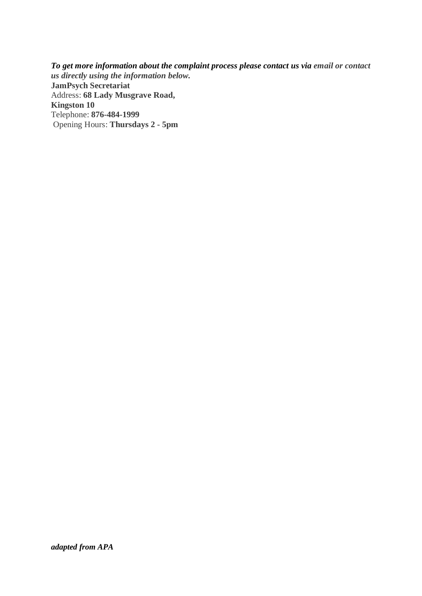*To get more information about the complaint process please contact us via email or contact us directly using the information below.* **JamPsych Secretariat** Address: **68 Lady Musgrave Road, Kingston 10** Telephone: **876-484-1999** Opening Hours: **Thursdays 2 - 5pm**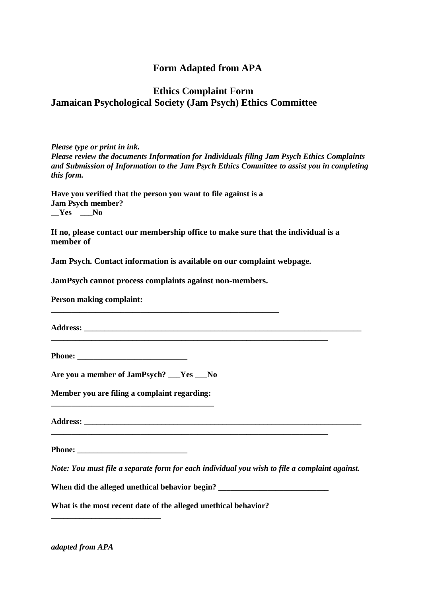# **Form Adapted from APA**

# **Ethics Complaint Form Jamaican Psychological Society (Jam Psych) Ethics Committee**

*Please type or print in ink. Please review the documents Information for Individuals filing Jam Psych Ethics Complaints and Submission of Information to the Jam Psych Ethics Committee to assist you in completing this form.* 

**Have you verified that the person you want to file against is a Jam Psych member? \_\_Yes \_\_\_No** 

**If no, please contact our membership office to make sure that the individual is a member of** 

**Jam Psych. Contact information is available on our complaint webpage.** 

**JamPsych cannot process complaints against non-members.** 

**\_\_\_\_\_\_\_\_\_\_\_\_\_\_\_\_\_\_\_\_\_\_\_\_\_\_\_\_\_\_\_\_\_\_\_\_\_\_\_\_\_\_\_\_\_\_\_\_\_\_\_\_\_\_\_\_** 

**Person making complaint:** 

**Address: \_\_\_\_\_\_\_\_\_\_\_\_\_\_\_\_\_\_\_\_\_\_\_\_\_\_\_\_\_\_\_\_\_\_\_\_\_\_\_\_\_\_\_\_\_\_\_\_\_\_\_\_\_\_\_\_\_\_\_\_\_\_\_\_\_\_\_\_** 

**\_\_\_\_\_\_\_\_\_\_\_\_\_\_\_\_\_\_\_\_\_\_\_\_\_\_\_\_\_\_\_\_\_\_\_\_\_\_\_\_\_\_\_\_\_\_\_\_\_\_\_\_\_\_\_\_\_\_\_\_\_\_\_\_\_\_\_\_** 

**Phone: \_\_\_\_\_\_\_\_\_\_\_\_\_\_\_\_\_\_\_\_\_\_\_\_\_\_\_** 

**Are you a member of JamPsych? \_\_\_Yes \_\_\_No** 

**Member you are filing a complaint regarding: \_\_\_\_\_\_\_\_\_\_\_\_\_\_\_\_\_\_\_\_\_\_\_\_\_\_\_\_\_\_\_\_\_\_\_\_\_\_\_\_** 

**Address: \_\_\_\_\_\_\_\_\_\_\_\_\_\_\_\_\_\_\_\_\_\_\_\_\_\_\_\_\_\_\_\_\_\_\_\_\_\_\_\_\_\_\_\_\_\_\_\_\_\_\_\_\_\_\_\_\_\_\_\_\_\_\_\_\_\_\_\_** 

**Phone:**  $\blacksquare$ 

**\_\_\_\_\_\_\_\_\_\_\_\_\_\_\_\_\_\_\_\_\_\_\_\_\_\_\_** 

*Note: You must file a separate form for each individual you wish to file a complaint against.* 

When did the alleged unethical behavior begin? \_\_\_\_\_\_\_\_\_\_\_\_\_\_\_\_\_\_\_\_\_\_\_\_\_\_\_\_\_\_\_\_\_\_

**What is the most recent date of the alleged unethical behavior?**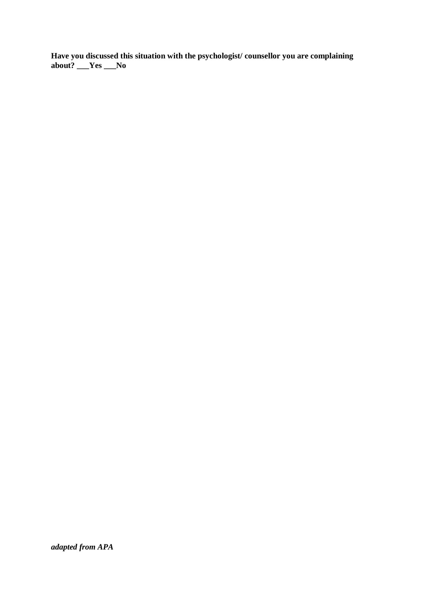**Have you discussed this situation with the psychologist/ counsellor you are complaining about? \_\_\_Yes \_\_\_No**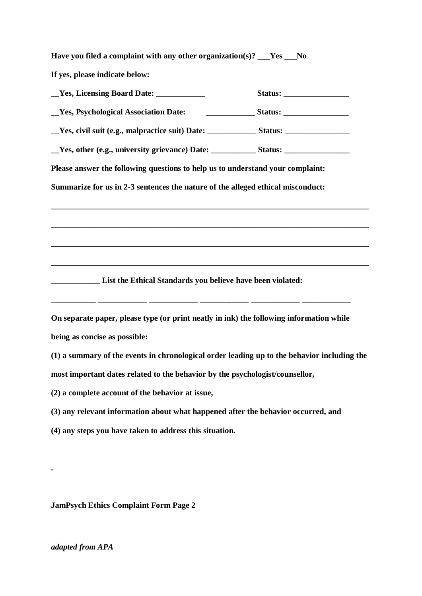**Have you filed a complaint with any other organization(s)? \_\_\_Yes \_\_\_No If yes, please indicate below:** 

| Ves, Licensing Board Date: _____________                                                |  |
|-----------------------------------------------------------------------------------------|--|
| _Yes, Psychological Association Date:                                                   |  |
|                                                                                         |  |
| Ves, other (e.g., university grievance) Date: Status: Status:                           |  |
| Please answer the following questions to help us to understand your complaint:          |  |
| Summarize for us in 2-3 sentences the nature of the alleged ethical misconduct:         |  |
|                                                                                         |  |
|                                                                                         |  |
|                                                                                         |  |
|                                                                                         |  |
| <b>EXAMPLE 2.1 Left List the Ethical Standards you believe have been violated:</b>      |  |
|                                                                                         |  |
| On separate paper, please type (or print neatly in ink) the following information while |  |
| being as concise as possible:                                                           |  |

**(1) a summary of the events in chronological order leading up to the behavior including the most important dates related to the behavior by the psychologist/counsellor,** 

**(2) a complete account of the behavior at issue,** 

**(3) any relevant information about what happened after the behavior occurred, and** 

**(4) any steps you have taken to address this situation.**

**JamPsych Ethics Complaint Form Page 2** 

#### *adapted from APA*

**.**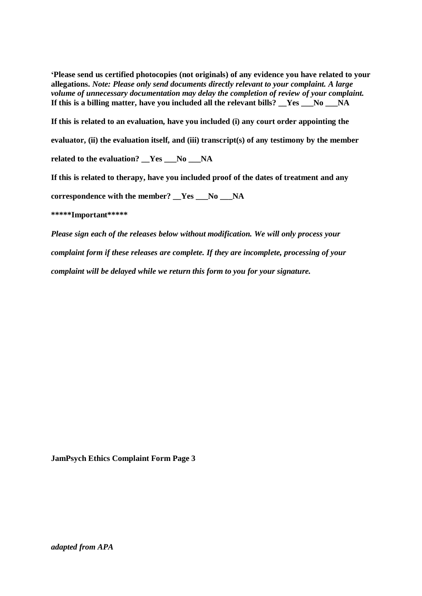**'Please send us certified photocopies (not originals) of any evidence you have related to your allegations.** *Note: Please only send documents directly relevant to your complaint. A large volume of unnecessary documentation may delay the completion of review of your complaint.*  If this is a billing matter, have you included all the relevant bills? Yes No NA

**If this is related to an evaluation, have you included (i) any court order appointing the** 

**evaluator, (ii) the evaluation itself, and (iii) transcript(s) of any testimony by the member** 

**related to the evaluation? \_\_Yes \_\_\_No \_\_\_NA** 

**If this is related to therapy, have you included proof of the dates of treatment and any** 

**correspondence with the member? \_\_Yes \_\_\_No \_\_\_NA** 

**\*\*\*\*\*Important\*\*\*\*\*** 

*Please sign each of the releases below without modification. We will only process your complaint form if these releases are complete. If they are incomplete, processing of your complaint will be delayed while we return this form to you for your signature.* 

**JamPsych Ethics Complaint Form Page 3**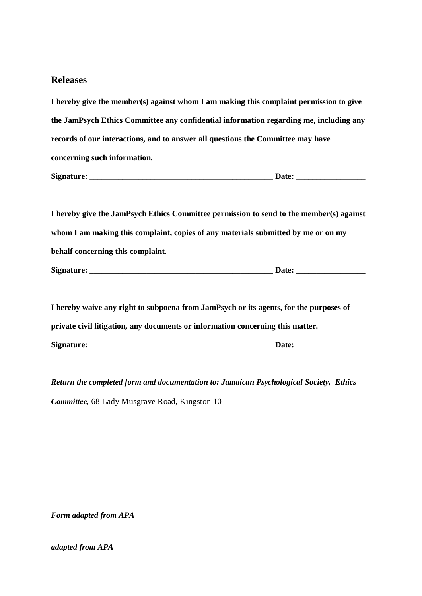#### **Releases**

**I hereby give the member(s) against whom I am making this complaint permission to give the JamPsych Ethics Committee any confidential information regarding me, including any records of our interactions, and to answer all questions the Committee may have concerning such information.** 

**Signature: \_\_\_\_\_\_\_\_\_\_\_\_\_\_\_\_\_\_\_\_\_\_\_\_\_\_\_\_\_\_\_\_\_\_\_\_\_\_\_\_\_\_\_\_\_ Date: \_\_\_\_\_\_\_\_\_\_\_\_\_\_\_\_\_** 

**I hereby give the JamPsych Ethics Committee permission to send to the member(s) against whom I am making this complaint, copies of any materials submitted by me or on my behalf concerning this complaint.** 

**Signature: \_\_\_\_\_\_\_\_\_\_\_\_\_\_\_\_\_\_\_\_\_\_\_\_\_\_\_\_\_\_\_\_\_\_\_\_\_\_\_\_\_\_\_\_\_ Date: \_\_\_\_\_\_\_\_\_\_\_\_\_\_\_\_\_** 

**I hereby waive any right to subpoena from JamPsych or its agents, for the purposes of private civil litigation, any documents or information concerning this matter. Signature:**  $\qquad \qquad$  Date:

*Return the completed form and documentation to: Jamaican Psychological Society, Ethics Committee,* 68 Lady Musgrave Road, Kingston 10

*Form adapted from APA*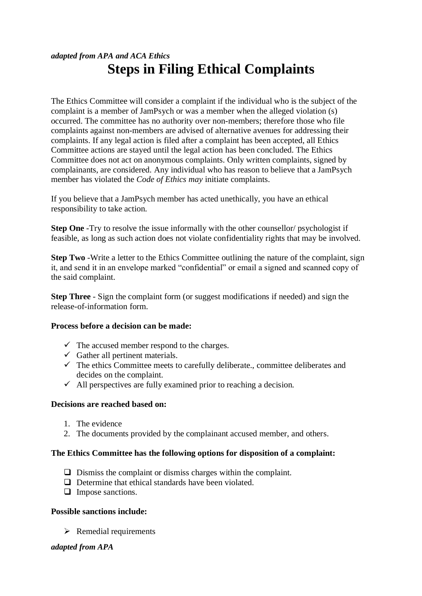# *adapted from APA and ACA Ethics* **Steps in Filing Ethical Complaints**

The Ethics Committee will consider a complaint if the individual who is the subject of the complaint is a member of JamPsych or was a member when the alleged violation (s) occurred. The committee has no authority over non-members; therefore those who file complaints against non-members are advised of alternative avenues for addressing their complaints. If any legal action is filed after a complaint has been accepted, all Ethics Committee actions are stayed until the legal action has been concluded. The Ethics Committee does not act on anonymous complaints. Only written complaints, signed by complainants, are considered. Any individual who has reason to believe that a JamPsych member has violated the *Code of Ethics may* initiate complaints.

If you believe that a JamPsych member has acted unethically, you have an ethical responsibility to take action.

**Step One** -Try to resolve the issue informally with the other counsellor/ psychologist if feasible, as long as such action does not violate confidentiality rights that may be involved.

**Step Two** -Write a letter to the Ethics Committee outlining the nature of the complaint, sign it, and send it in an envelope marked "confidential" or email a signed and scanned copy of the said complaint.

**Step Three** - Sign the complaint form (or suggest modifications if needed) and sign the release-of-information form.

#### **Process before a decision can be made:**

- $\checkmark$  The accused member respond to the charges.
- $\checkmark$  Gather all pertinent materials.
- $\checkmark$  The ethics Committee meets to carefully deliberate., committee deliberates and decides on the complaint.
- $\checkmark$  All perspectives are fully examined prior to reaching a decision.

#### **Decisions are reached based on:**

- 1. The evidence
- 2. The documents provided by the complainant accused member, and others.

#### **The Ethics Committee has the following options for disposition of a complaint:**

- ❑ Dismiss the complaint or dismiss charges within the complaint.
- ❑ Determine that ethical standards have been violated.
- ❑ Impose sanctions.

#### **Possible sanctions include:**

 $\triangleright$  Remedial requirements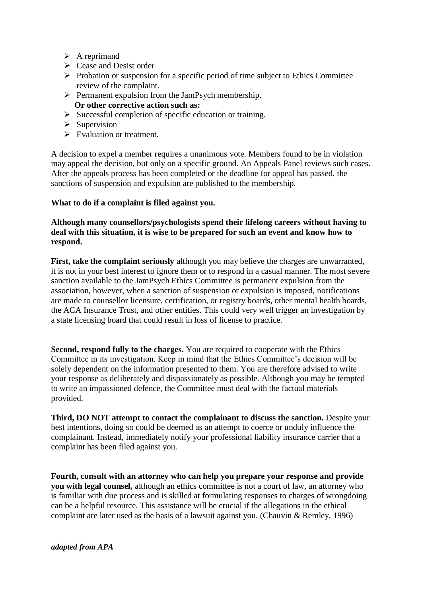- $\triangleright$  A reprimand
- ➢ Cease and Desist order
- ➢ Probation or suspension for a specific period of time subject to Ethics Committee review of the complaint.
- $\triangleright$  Permanent expulsion from the JamPsych membership.  **Or other corrective action such as:**
- $\triangleright$  Successful completion of specific education or training.
- $\triangleright$  Supervision
- ➢ Evaluation or treatment.

A decision to expel a member requires a unanimous vote. Members found to be in violation may appeal the decision, but only on a specific ground. An Appeals Panel reviews such cases. After the appeals process has been completed or the deadline for appeal has passed, the sanctions of suspension and expulsion are published to the membership.

#### **What to do if a complaint is filed against you.**

#### **Although many counsellors/psychologists spend their lifelong careers without having to deal with this situation, it is wise to be prepared for such an event and know how to respond.**

**First, take the complaint seriously** although you may believe the charges are unwarranted, it is not in your best interest to ignore them or to respond in a casual manner. The most severe sanction available to the JamPsych Ethics Committee is permanent expulsion from the association, however, when a sanction of suspension or expulsion is imposed, notifications are made to counsellor licensure, certification, or registry boards, other mental health boards, the ACA Insurance Trust, and other entities. This could very well trigger an investigation by a state licensing board that could result in loss of license to practice.

**Second, respond fully to the charges.** You are required to cooperate with the Ethics Committee in its investigation. Keep in mind that the Ethics Committee's decision will be solely dependent on the information presented to them. You are therefore advised to write your response as deliberately and dispassionately as possible. Although you may be tempted to write an impassioned defence, the Committee must deal with the factual materials provided.

**Third, DO NOT attempt to contact the complainant to discuss the sanction.** Despite your best intentions, doing so could be deemed as an attempt to coerce or unduly influence the complainant. Instead, immediately notify your professional liability insurance carrier that a complaint has been filed against you.

**Fourth, consult with an attorney who can help you prepare your response and provide you with legal counsel,** although an ethics committee is not a court of law, an attorney who is familiar with due process and is skilled at formulating responses to charges of wrongdoing can be a helpful resource. This assistance will be crucial if the allegations in the ethical complaint are later used as the basis of a lawsuit against you. (Chauvin & Remley, 1996)